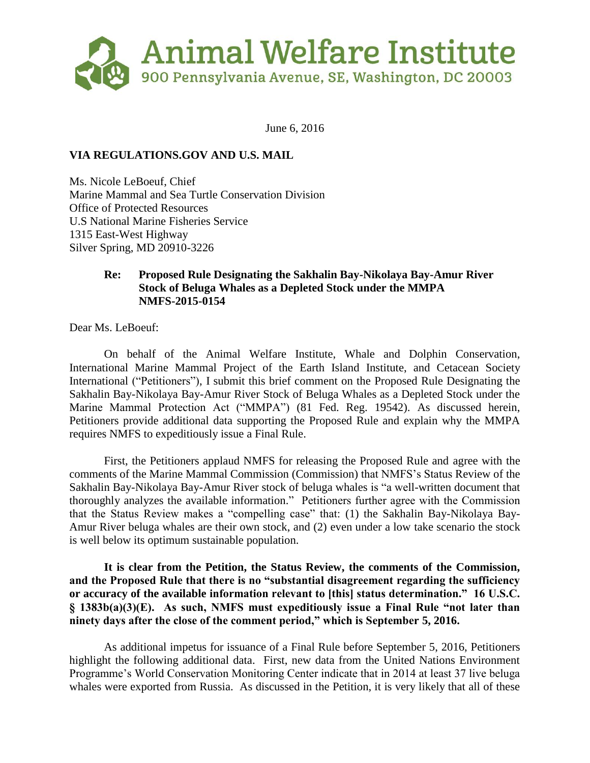

June 6, 2016

# **VIA REGULATIONS.GOV AND U.S. MAIL**

Ms. Nicole LeBoeuf, Chief Marine Mammal and Sea Turtle Conservation Division Office of Protected Resources U.S National Marine Fisheries Service 1315 East-West Highway Silver Spring, MD 20910-3226

# **Re: Proposed Rule Designating the Sakhalin Bay-Nikolaya Bay-Amur River Stock of Beluga Whales as a Depleted Stock under the MMPA NMFS-2015-0154**

Dear Ms. LeBoeuf:

On behalf of the Animal Welfare Institute, Whale and Dolphin Conservation, International Marine Mammal Project of the Earth Island Institute, and Cetacean Society International ("Petitioners"), I submit this brief comment on the Proposed Rule Designating the Sakhalin Bay-Nikolaya Bay-Amur River Stock of Beluga Whales as a Depleted Stock under the Marine Mammal Protection Act ("MMPA") (81 Fed. Reg. 19542). As discussed herein, Petitioners provide additional data supporting the Proposed Rule and explain why the MMPA requires NMFS to expeditiously issue a Final Rule.

First, the Petitioners applaud NMFS for releasing the Proposed Rule and agree with the comments of the Marine Mammal Commission (Commission) that NMFS's Status Review of the Sakhalin Bay-Nikolaya Bay-Amur River stock of beluga whales is "a well-written document that thoroughly analyzes the available information." Petitioners further agree with the Commission that the Status Review makes a "compelling case" that: (1) the Sakhalin Bay-Nikolaya Bay-Amur River beluga whales are their own stock, and (2) even under a low take scenario the stock is well below its optimum sustainable population.

**It is clear from the Petition, the Status Review, the comments of the Commission, and the Proposed Rule that there is no "substantial disagreement regarding the sufficiency or accuracy of the available information relevant to [this] status determination." 16 U.S.C. § 1383b(a)(3)(E). As such, NMFS must expeditiously issue a Final Rule "not later than ninety days after the close of the comment period," which is September 5, 2016.**

As additional impetus for issuance of a Final Rule before September 5, 2016, Petitioners highlight the following additional data. First, new data from the United Nations Environment Programme's World Conservation Monitoring Center indicate that in 2014 at least 37 live beluga whales were exported from Russia. As discussed in the Petition, it is very likely that all of these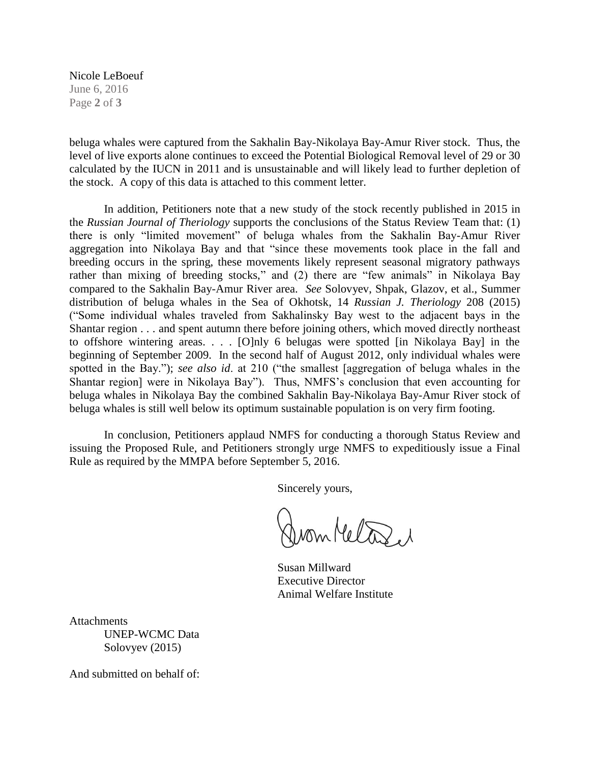Nicole LeBoeuf June 6, 2016 Page **2** of **3**

beluga whales were captured from the Sakhalin Bay-Nikolaya Bay-Amur River stock. Thus, the level of live exports alone continues to exceed the Potential Biological Removal level of 29 or 30 calculated by the IUCN in 2011 and is unsustainable and will likely lead to further depletion of the stock. A copy of this data is attached to this comment letter.

In addition, Petitioners note that a new study of the stock recently published in 2015 in the *Russian Journal of Theriology* supports the conclusions of the Status Review Team that: (1) there is only "limited movement" of beluga whales from the Sakhalin Bay-Amur River aggregation into Nikolaya Bay and that "since these movements took place in the fall and breeding occurs in the spring, these movements likely represent seasonal migratory pathways rather than mixing of breeding stocks," and (2) there are "few animals" in Nikolaya Bay compared to the Sakhalin Bay-Amur River area. *See* Solovyev, Shpak, Glazov, et al., Summer distribution of beluga whales in the Sea of Okhotsk, 14 *Russian J. Theriology* 208 (2015) ("Some individual whales traveled from Sakhalinsky Bay west to the adjacent bays in the Shantar region . . . and spent autumn there before joining others, which moved directly northeast to offshore wintering areas. . . . [O]nly 6 belugas were spotted [in Nikolaya Bay] in the beginning of September 2009. In the second half of August 2012, only individual whales were spotted in the Bay."); *see also id*. at 210 ("the smallest [aggregation of beluga whales in the Shantar region] were in Nikolaya Bay"). Thus, NMFS's conclusion that even accounting for beluga whales in Nikolaya Bay the combined Sakhalin Bay-Nikolaya Bay-Amur River stock of beluga whales is still well below its optimum sustainable population is on very firm footing.

In conclusion, Petitioners applaud NMFS for conducting a thorough Status Review and issuing the Proposed Rule, and Petitioners strongly urge NMFS to expeditiously issue a Final Rule as required by the MMPA before September 5, 2016.

Sincerely yours,

from Metone et

Susan Millward Executive Director Animal Welfare Institute

Attachments UNEP-WCMC Data Solovyev (2015)

And submitted on behalf of: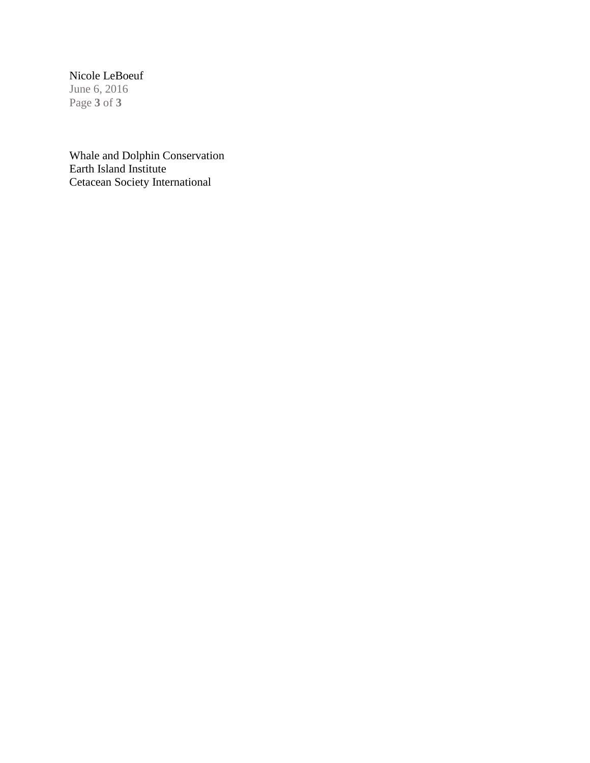# Nicole LeBoeuf

June 6, 2016 Page **3** of **3**

Whale and Dolphin Conservation Earth Island Institute Cetacean Society International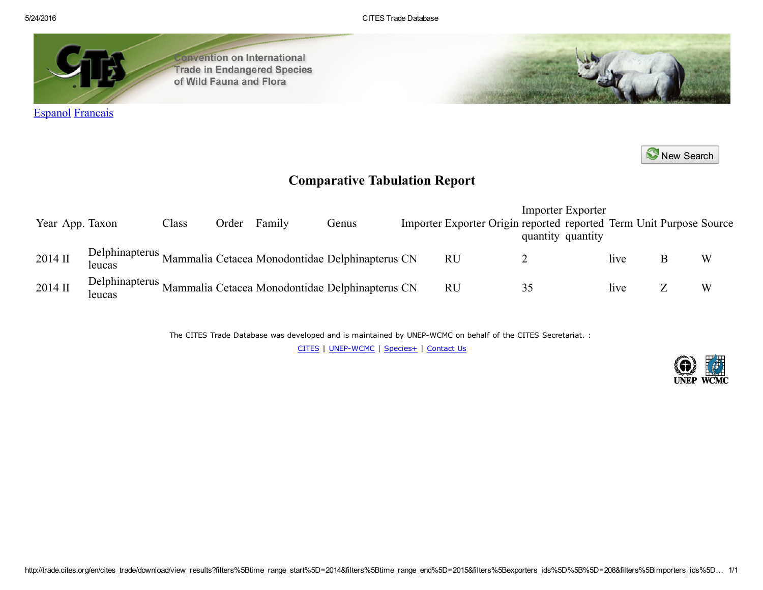5/24/2016 CITES Trade Database



onvention on International **Trade in Endangered Species** of Wild Fauna and Flora

New [Search](http://trade.cites.org/en/cites_trade/)

# Comparative Tabulation Report

| Year App. Taxon |        | Class | Order | Family | Genus                                                          |           | <b>Importer Exporter</b><br>Importer Exporter Origin reported reported Term Unit Purpose Source<br>quantity quantity |      |   |
|-----------------|--------|-------|-------|--------|----------------------------------------------------------------|-----------|----------------------------------------------------------------------------------------------------------------------|------|---|
| 2014 II         | leucas |       |       |        | Delphinapterus Mammalia Cetacea Monodontidae Delphinapterus CN | <b>RU</b> |                                                                                                                      | live | W |
| 2014 II         | leucas |       |       |        | Delphinapterus Mammalia Cetacea Monodontidae Delphinapterus CN | <b>RU</b> |                                                                                                                      | live | W |

The CITES Trade Database was developed and is maintained by UNEP-WCMC on behalf of the CITES Secretariat. :

[CITES](http://www.cites.org/) | UNEP-WCMC | [Species+](http://www.speciesplus.net/) | [Contact](mailto:species@unep-wcmc.org) Us

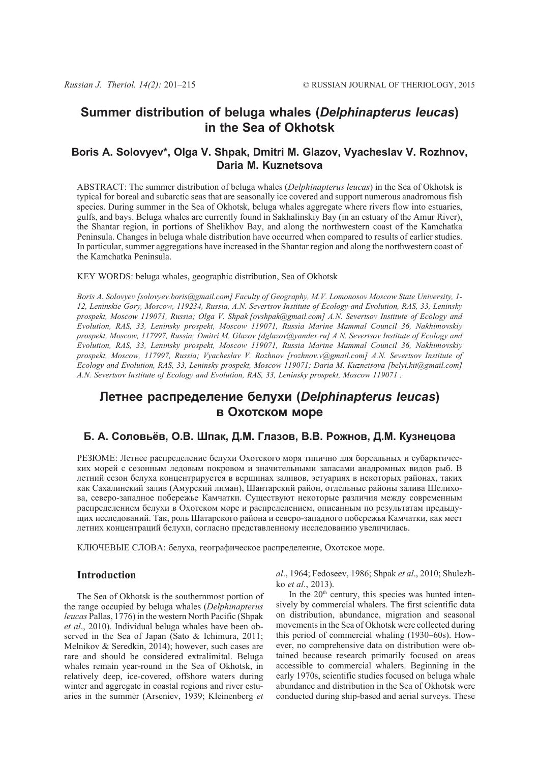# **Summer distribution of beluga whales (***Delphinapterus leucas***) in the Sea of Okhotsk**

# **Boris A. Solovyev\*, Olga V. Shpak, Dmitri M. Glazov, Vyacheslav V. Rozhnov, Daria M. Kuznetsova**

ABSTRACT: The summer distribution of beluga whales (*Delphinapterus leucas*) in the Sea of Okhotsk is typical for boreal and subarctic seas that are seasonally ice covered and support numerous anadromous fish species. During summer in the Sea of Okhotsk, beluga whales aggregate where rivers flow into estuaries, gulfs, and bays. Beluga whales are currently found in Sakhalinskiy Bay (in an estuary of the Amur River), the Shantar region, in portions of Shelikhov Bay, and along the northwestern coast of the Kamchatka Peninsula. Changes in beluga whale distribution have occurred when compared to results of earlier studies. In particular, summer aggregations have increased in the Shantar region and along the northwestern coast of the Kamchatka Peninsula.

### KEY WORDS: beluga whales, geographic distribution, Sea of Okhotsk

*Boris A. Solovyev [solovyev.boris@gmail.com] Faculty of Geography, M.V. Lomonosov Moscow State University, 1- 12, Leninskie Gory, Moscow, 119234, Russia, A.N. Severtsov Institute of Ecology and Evolution, RAS, 33, Leninsky prospekt, Moscow 119071, Russia; Olga V. Shpak [ovshpak@gmail.com] A.N. Severtsov Institute of Ecology and Evolution, RAS, 33, Leninsky prospekt, Moscow 119071, Russia Marine Mammal Council 36, Nakhimovskiy prospekt, Moscow, 117997, Russia; Dmitri M. Glazov [dglazov@yandex.ru] A.N. Severtsov Institute of Ecology and Evolution, RAS, 33, Leninsky prospekt, Moscow 119071, Russia Marine Mammal Council 36, Nakhimovskiy prospekt, Moscow, 117997, Russia; Vyacheslav V. Rozhnov [rozhnov.v@gmail.com] A.N. Severtsov Institute of Ecology and Evolution, RAS, 33, Leninsky prospekt, Moscow 119071; Daria M. Kuznetsova [belyi.kit@gmail.com] A.N. Severtsov Institute of Ecology and Evolution, RAS, 33, Leninsky prospekt, Moscow 119071 .*

# **Летнее распределение белухи (***Delphinapterus leucas***) в Охотском море**

# Б. А. Соловьёв, О.В. Шпак, Д.М. Глазов, В.В. Рожнов, Д.М. Кузнецова

РЕЗЮМЕ: Летнее распределение белухи Охотского моря типично для бореальных и субарктических морей с сезонным ледовым покровом и значительными запасами анадромных видов рыб. В летний сезон белуха концентрируется в вершинах заливов, эстуариях в некоторых районах, таких как Сахалинский залив (Амурский лиман), Шантарский район, отдельные районы залива Шелихова, северо-западное побережье Камчатки. Существуют некоторые различия между современным распределением белухи в Охотском море и распределением, описанным по результатам предыдущих исследований. Так, роль Шатарского района и северо-западного побережья Камчатки, как мест летних концентраций белухи, согласно представленному исследованию увеличилась.

КЛЮЧЕВЫЕ СЛОВА: белуха, географическое распределение, Охотское море.

# **Introduction**

The Sea of Okhotsk is the southernmost portion of the range occupied by beluga whales (*Delphinapterus leucas* Pallas, 1776) in the western North Pacific (Shpak *et al*., 2010). Individual beluga whales have been observed in the Sea of Japan (Sato & Ichimura, 2011; Melnikov & Seredkin, 2014); however, such cases are rare and should be considered extralimital. Beluga whales remain year-round in the Sea of Okhotsk, in relatively deep, ice-covered, offshore waters during winter and aggregate in coastal regions and river estuaries in the summer (Arseniev, 1939; Kleinenberg *et* *al*., 1964; Fedoseev, 1986; Shpak *et al*., 2010; Shulezhko *et al*., 2013).

In the  $20<sup>th</sup>$  century, this species was hunted intensively by commercial whalers. The first scientific data on distribution, abundance, migration and seasonal movements in the Sea of Okhotsk were collected during this period of commercial whaling (1930–60s). However, no comprehensive data on distribution were obtained because research primarily focused on areas accessible to commercial whalers. Beginning in the early 1970s, scientific studies focused on beluga whale abundance and distribution in the Sea of Okhotsk were conducted during ship-based and aerial surveys. These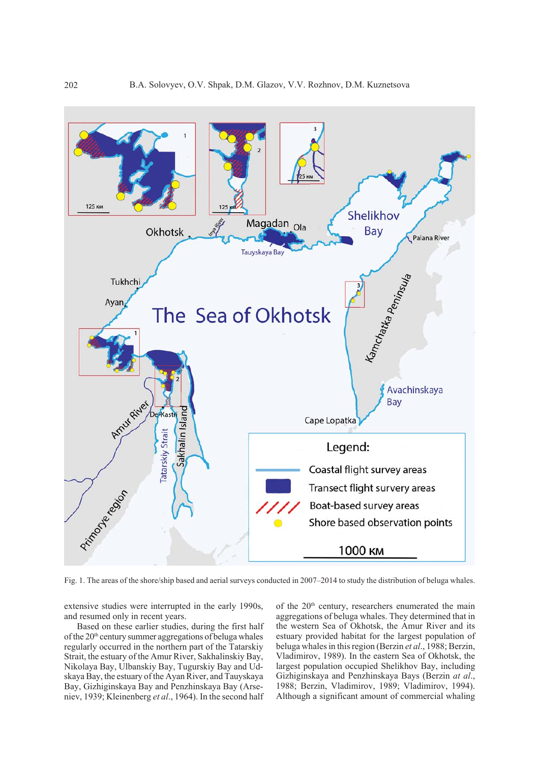

Fig. 1. The areas of the shore/ship based and aerial surveys conducted in 2007–2014 to study the distribution of beluga whales.

extensive studies were interrupted in the early 1990s, and resumed only in recent years.

Based on these earlier studies, during the first half of the  $20<sup>th</sup>$  century summer aggregations of beluga whales regularly occurred in the northern part of the Tatarskiy Strait, the estuary of the Amur River, Sakhalinskiy Bay, Nikolaya Bay, Ulbanskiy Bay, Tugurskiy Bay and Udskaya Bay, the estuary of the Ayan River, and Tauyskaya Bay, Gizhiginskaya Bay and Penzhinskaya Bay (Arseniev, 1939; Kleinenberg *et al*., 1964). In the second half of the 20<sup>th</sup> century, researchers enumerated the main aggregations of beluga whales. They determined that in the western Sea of Okhotsk, the Amur River and its estuary provided habitat for the largest population of beluga whales in this region (Berzin *et al*., 1988; Berzin, Vladimirov, 1989). In the eastern Sea of Okhotsk, the largest population occupied Shelikhov Bay, including Gizhiginskaya and Penzhinskaya Bays (Berzin *at al*., 1988; Berzin, Vladimirov, 1989; Vladimirov, 1994). Although a significant amount of commercial whaling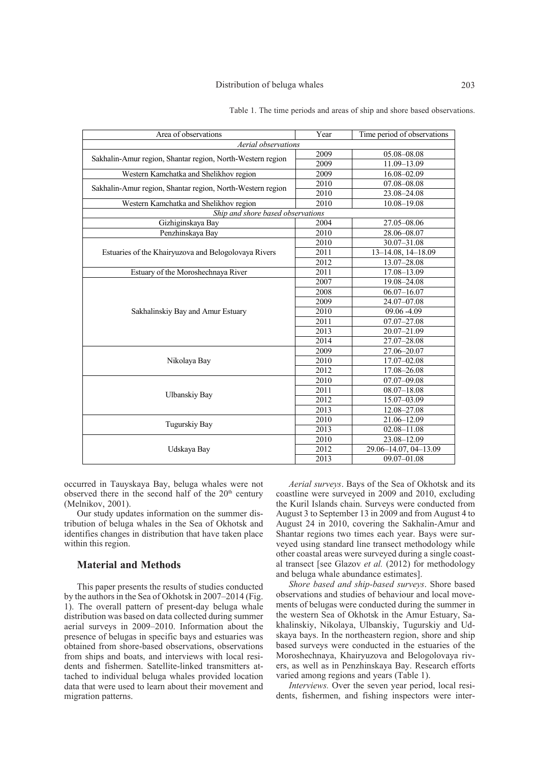#### Distribution of beluga whales 203

| Area of observations                                       | Year | Time period of observations |  |  |  |  |  |  |
|------------------------------------------------------------|------|-----------------------------|--|--|--|--|--|--|
| Aerial observations                                        |      |                             |  |  |  |  |  |  |
| Sakhalin-Amur region, Shantar region, North-Western region | 2009 | 05.08-08.08                 |  |  |  |  |  |  |
|                                                            | 2009 | 11.09-13.09                 |  |  |  |  |  |  |
| Western Kamchatka and Shelikhov region                     | 2009 | 16.08-02.09                 |  |  |  |  |  |  |
| Sakhalin-Amur region, Shantar region, North-Western region | 2010 | 07.08-08.08                 |  |  |  |  |  |  |
|                                                            | 2010 | 23.08-24.08                 |  |  |  |  |  |  |
| Western Kamchatka and Shelikhov region                     | 2010 | 10.08-19.08                 |  |  |  |  |  |  |
| Ship and shore based observations                          |      |                             |  |  |  |  |  |  |
| Gizhiginskaya Bay                                          | 2004 | 27.05-08.06                 |  |  |  |  |  |  |
| Penzhinskaya Bay                                           | 2010 | 28.06-08.07                 |  |  |  |  |  |  |
|                                                            | 2010 | 30.07-31.08                 |  |  |  |  |  |  |
| Estuaries of the Khairyuzova and Belogolovaya Rivers       | 2011 | 13-14.08, 14-18.09          |  |  |  |  |  |  |
|                                                            | 2012 | 13.07-28.08                 |  |  |  |  |  |  |
| Estuary of the Moroshechnaya River                         | 2011 | 17.08-13.09                 |  |  |  |  |  |  |
|                                                            | 2007 | 19.08-24.08                 |  |  |  |  |  |  |
|                                                            | 2008 | $06.07 - 16.07$             |  |  |  |  |  |  |
|                                                            | 2009 | 24.07-07.08                 |  |  |  |  |  |  |
| Sakhalinskiy Bay and Amur Estuary                          | 2010 | 09.06 -4.09                 |  |  |  |  |  |  |
|                                                            | 2011 | 07.07-27.08                 |  |  |  |  |  |  |
|                                                            | 2013 | 20.07-21.09                 |  |  |  |  |  |  |
|                                                            | 2014 | 27.07-28.08                 |  |  |  |  |  |  |
|                                                            | 2009 | 27.06-20.07                 |  |  |  |  |  |  |
| Nikolaya Bay                                               | 2010 | 17.07-02.08                 |  |  |  |  |  |  |
|                                                            | 2012 | 17.08-26.08                 |  |  |  |  |  |  |
|                                                            | 2010 | 07.07-09.08                 |  |  |  |  |  |  |
|                                                            | 2011 | $08.07 - 18.08$             |  |  |  |  |  |  |
| <b>Ulbanskiy Bay</b>                                       | 2012 | 15.07-03.09                 |  |  |  |  |  |  |
|                                                            | 2013 | 12.08-27.08                 |  |  |  |  |  |  |
|                                                            | 2010 | 21.06-12.09                 |  |  |  |  |  |  |
| Tugurskiy Bay                                              | 2013 | $02.08 - 11.08$             |  |  |  |  |  |  |
|                                                            | 2010 | 23.08-12.09                 |  |  |  |  |  |  |
| Udskaya Bay                                                | 2012 | 29.06-14.07, 04-13.09       |  |  |  |  |  |  |
|                                                            | 2013 | 09.07-01.08                 |  |  |  |  |  |  |

Table 1. The time periods and areas of ship and shore based observations.

occurred in Tauyskaya Bay, beluga whales were not observed there in the second half of the  $20<sup>th</sup>$  century (Melnikov, 2001).

Our study updates information on the summer distribution of beluga whales in the Sea of Okhotsk and identifies changes in distribution that have taken place within this region.

## **Material and Methods**

This paper presents the results of studies conducted by the authors in the Sea of Okhotsk in 2007–2014 (Fig. 1). The overall pattern of present-day beluga whale distribution was based on data collected during summer aerial surveys in 2009–2010. Information about the presence of belugas in specific bays and estuaries was obtained from shore-based observations, observations from ships and boats, and interviews with local residents and fishermen. Satellite-linked transmitters attached to individual beluga whales provided location data that were used to learn about their movement and migration patterns.

*Aerial surveys*. Bays of the Sea of Okhotsk and its coastline were surveyed in 2009 and 2010, excluding the Kuril Islands chain. Surveys were conducted from August 3 to September 13 in 2009 and from August 4 to August 24 in 2010, covering the Sakhalin-Amur and Shantar regions two times each year. Bays were surveyed using standard line transect methodology while other coastal areas were surveyed during a single coastal transect [see Glazov *et al.* (2012) for methodology and beluga whale abundance estimates].

*Shore based and ship-based surveys*. Shore based observations and studies of behaviour and local movements of belugas were conducted during the summer in the western Sea of Okhotsk in the Amur Estuary, Sakhalinskiy, Nikolaya, Ulbanskiy, Tugurskiy and Udskaya bays. In the northeastern region, shore and ship based surveys were conducted in the estuaries of the Moroshechnaya, Khairyuzova and Belogolovaya rivers, as well as in Penzhinskaya Bay. Research efforts varied among regions and years (Table 1).

*Interviews.* Over the seven year period, local residents, fishermen, and fishing inspectors were inter-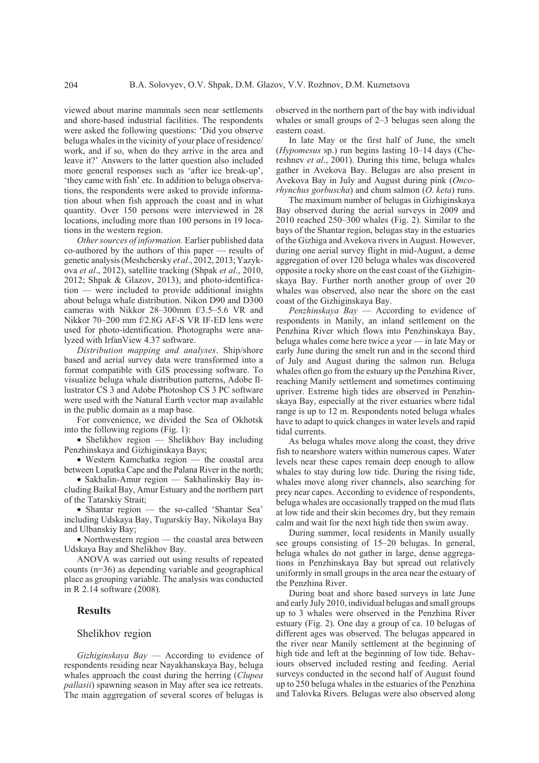viewed about marine mammals seen near settlements and shore-based industrial facilities. The respondents were asked the following questions: 'Did you observe beluga whales in the vicinity of your place of residence/ work, and if so, when do they arrive in the area and leave it?' Answers to the latter question also included more general responses such as 'after ice break-up', 'they came with fish' etc. In addition to beluga observations, the respondents were asked to provide information about when fish approach the coast and in what quantity. Over 150 persons were interviewed in 28 locations, including more than 100 persons in 19 locations in the western region.

*Other sources of information.* Earlier published data co-authored by the authors of this paper — results of genetic analysis (Meshchersky *et al*., 2012, 2013; Yazykova *et al*., 2012), satellite tracking (Shpak *et al*., 2010, 2012; Shpak & Glazov, 2013), and photo-identification — were included to provide additional insights about beluga whale distribution. Nikon D90 and D300 cameras with Nikkor 28–300mm f/3.5–5.6 VR and Nikkor 70–200 mm f/2.8G AF-S VR IF-ED lens were used for photo-identification. Photographs were analyzed with IrfanView 4.37 software.

*Distribution mapping and analyses*. Ship/shore based and aerial survey data were transformed into a format compatible with GIS processing software. To visualize beluga whale distribution patterns, Adobe Illustrator CS 3 and Adobe Photoshop CS 3 PC software were used with the Natural Earth vector map available in the public domain as a map base.

For convenience, we divided the Sea of Okhotsk into the following regions (Fig. 1):

• Shelikhov region — Shelikhov Bay including Penzhinskaya and Gizhiginskaya Bays;

• Western Kamchatka region — the coastal area between Lopatka Cape and the Palana River in the north;

• Sakhalin-Amur region — Sakhalinskiy Bay including Baikal Bay, Amur Estuary and the northern part of the Tatarskiy Strait;

• Shantar region — the so-called 'Shantar Sea' including Udskaya Bay, Tugurskiy Bay, Nikolaya Bay and Ulbanskiy Bay;

• Northwestern region — the coastal area between Udskaya Bay and Shelikhov Bay.

ANOVA was carried out using results of repeated counts (n=36) as depending variable and geographical place as grouping variable. The analysis was conducted in R 2.14 software (2008).

## **Results**

## Shelikhov region

*Gizhiginskaya Bay* — According to evidence of respondents residing near Nayakhanskaya Bay, beluga whales approach the coast during the herring (*Clupea pallasii*) spawning season in May after sea ice retreats. The main aggregation of several scores of belugas is

observed in the northern part of the bay with individual whales or small groups of 2–3 belugas seen along the eastern coast.

In late May or the first half of June, the smelt (*Hypomesus* sp.) run begins lasting 10–14 days (Chereshnev *et al*., 2001). During this time, beluga whales gather in Avekova Bay. Belugas are also present in Avekova Bay in July and August during pink (*Oncorhynchus gorbuscha*) and chum salmon (*O. keta*) runs.

The maximum number of belugas in Gizhiginskaya Bay observed during the aerial surveys in 2009 and 2010 reached 250–300 whales (Fig. 2). Similar to the bays of the Shantar region, belugas stay in the estuaries of the Gizhiga and Avekova rivers in August. However, during one aerial survey flight in mid-August, a dense aggregation of over 120 beluga whales was discovered opposite a rocky shore on the east coast of the Gizhiginskaya Bay. Further north another group of over 20 whales was observed, also near the shore on the east coast of the Gizhiginskaya Bay.

*Penzhinskaya Bay* — According to evidence of respondents in Manily, an inland settlement on the Penzhina River which flows into Penzhinskaya Bay, beluga whales come here twice a year — in late May or early June during the smelt run and in the second third of July and August during the salmon run. Beluga whales often go from the estuary up the Penzhina River, reaching Manily settlement and sometimes continuing upriver. Extreme high tides are observed in Penzhinskaya Bay, especially at the river estuaries where tidal range is up to 12 m. Respondents noted beluga whales have to adapt to quick changes in water levels and rapid tidal currents.

As beluga whales move along the coast, they drive fish to nearshore waters within numerous capes. Water levels near these capes remain deep enough to allow whales to stay during low tide. During the rising tide, whales move along river channels, also searching for prey near capes. According to evidence of respondents, beluga whales are occasionally trapped on the mud flats at low tide and their skin becomes dry, but they remain calm and wait for the next high tide then swim away.

During summer, local residents in Manily usually see groups consisting of 15–20 belugas. In general, beluga whales do not gather in large, dense aggregations in Penzhinskaya Bay but spread out relatively uniformly in small groups in the area near the estuary of the Penzhina River.

During boat and shore based surveys in late June and early July 2010, individual belugas and small groups up to 3 whales were observed in the Penzhina River estuary (Fig. 2). One day a group of ca. 10 belugas of different ages was observed. The belugas appeared in the river near Manily settlement at the beginning of high tide and left at the beginning of low tide. Behaviours observed included resting and feeding. Aerial surveys conducted in the second half of August found up to 250 beluga whales in the estuaries of the Penzhina and Talovka Rivers. Belugas were also observed along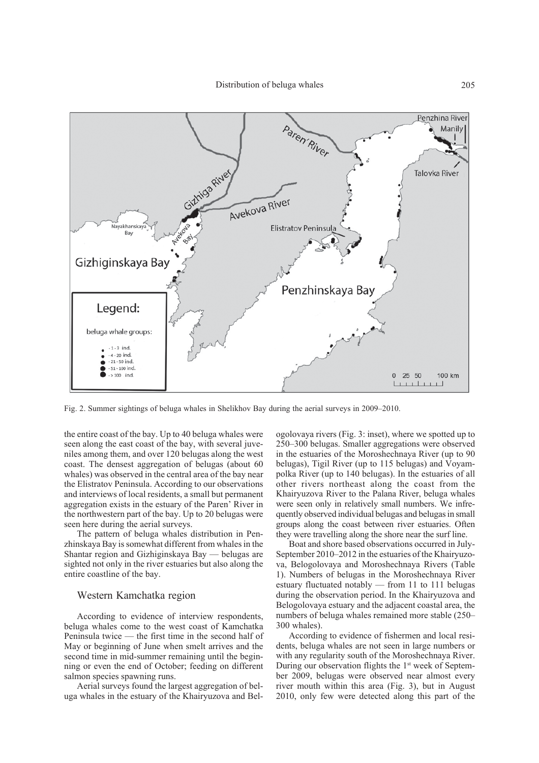

Fig. 2. Summer sightings of beluga whales in Shelikhov Bay during the aerial surveys in 2009–2010.

the entire coast of the bay. Up to 40 beluga whales were seen along the east coast of the bay, with several juveniles among them, and over 120 belugas along the west coast. The densest aggregation of belugas (about 60 whales) was observed in the central area of the bay near the Elistratov Peninsula. According to our observations and interviews of local residents, a small but permanent aggregation exists in the estuary of the Paren' River in the northwestern part of the bay. Up to 20 belugas were seen here during the aerial surveys.

The pattern of beluga whales distribution in Penzhinskaya Bay is somewhat different from whales in the Shantar region and Gizhiginskaya Bay — belugas are sighted not only in the river estuaries but also along the entire coastline of the bay.

## Western Kamchatka region

According to evidence of interview respondents, beluga whales come to the west coast of Kamchatka Peninsula twice — the first time in the second half of May or beginning of June when smelt arrives and the second time in mid-summer remaining until the beginning or even the end of October; feeding on different salmon species spawning runs.

Aerial surveys found the largest aggregation of beluga whales in the estuary of the Khairyuzova and Belogolovaya rivers (Fig. 3: inset), where we spotted up to 250–300 belugas. Smaller aggregations were observed in the estuaries of the Moroshechnaya River (up to 90 belugas), Tigil River (up to 115 belugas) and Voyampolka River (up to 140 belugas). In the estuaries of all other rivers northeast along the coast from the Khairyuzova River to the Palana River, beluga whales were seen only in relatively small numbers. We infrequently observed individual belugas and belugas in small groups along the coast between river estuaries. Often they were travelling along the shore near the surf line.

Boat and shore based observations occurred in July-September 2010–2012 in the estuaries of the Khairyuzova, Belogolovaya and Moroshechnaya Rivers (Table 1). Numbers of belugas in the Moroshechnaya River estuary fluctuated notably — from 11 to 111 belugas during the observation period. In the Khairyuzova and Belogolovaya estuary and the adjacent coastal area, the numbers of beluga whales remained more stable (250– 300 whales).

According to evidence of fishermen and local residents, beluga whales are not seen in large numbers or with any regularity south of the Moroshechnaya River. During our observation flights the  $1<sup>st</sup>$  week of September 2009, belugas were observed near almost every river mouth within this area (Fig. 3), but in August 2010, only few were detected along this part of the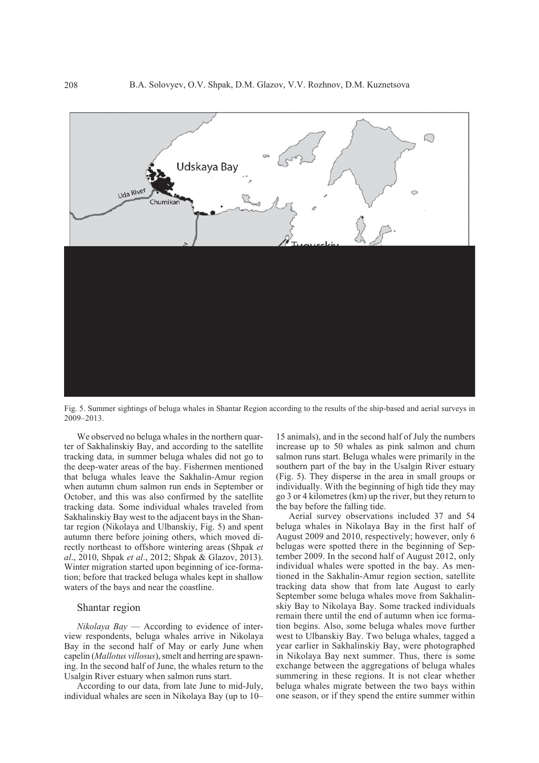Fig. 5. Summer sightings of beluga whales in Shantar Region according to the results of the ship-based and aerial surveys in 2009–2013.

We observed no beluga whales in the northern quarter of Sakhalinskiy Bay, and according to the satellite tracking data, in summer beluga whales did not go to the deep-water areas of the bay. Fishermen mentioned that beluga whales leave the Sakhalin-Amur region when autumn chum salmon run ends in September or October, and this was also confirmed by the satellite tracking data. Some individual whales traveled from Sakhalinskiy Bay west to the adjacent bays in the Shantar region (Nikolaya and Ulbanskiy, Fig. 5) and spent autumn there before joining others, which moved directly northeast to offshore wintering areas (Shpak *et al*., 2010, Shpak *et al*., 2012; Shpak & Glazov, 2013). Winter migration started upon beginning of ice-formation; before that tracked beluga whales kept in shallow waters of the bays and near the coastline.

#### Shantar region

*Nikolaya Bay* — According to evidence of interview respondents, beluga whales arrive in Nikolaya Bay in the second half of May or early June when capelin (*Mallotus villosus*), smelt and herring are spawning. In the second half of June, the whales return to the Usalgin River estuary when salmon runs start.

According to our data, from late June to mid-July, individual whales are seen in Nikolaya Bay (up to 10–

15 animals), and in the second half of July the numbers increase up to 50 whales as pink salmon and chum salmon runs start. Beluga whales were primarily in the southern part of the bay in the Usalgin River estuary (Fig. 5). They disperse in the area in small groups or individually. With the beginning of high tide they may go 3 or 4 kilometres (km) up the river, but they return to the bay before the falling tide.

Aerial survey observations included 37 and 54 beluga whales in Nikolaya Bay in the first half of August 2009 and 2010, respectively; however, only 6 belugas were spotted there in the beginning of September 2009. In the second half of August 2012, only individual whales were spotted in the bay. As mentioned in the Sakhalin-Amur region section, satellite tracking data show that from late August to early September some beluga whales move from Sakhalinskiy Bay to Nikolaya Bay. Some tracked individuals remain there until the end of autumn when ice formation begins. Also, some beluga whales move further west to Ulbanskiy Bay. Two beluga whales, tagged a year earlier in Sakhalinskiy Bay, were photographed in Nikolaya Bay next summer. Thus, there is some exchange between the aggregations of beluga whales summering in these regions. It is not clear whether beluga whales migrate between the two bays within one season, or if they spend the entire summer within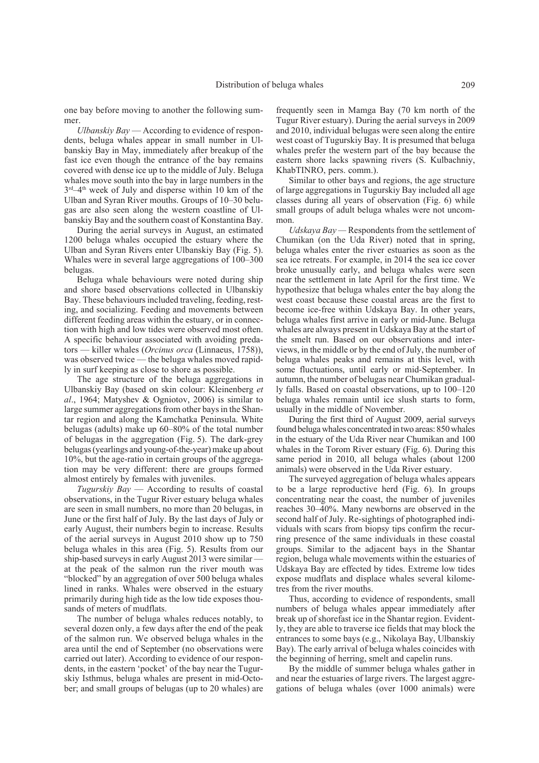one bay before moving to another the following summer.

*Ulbanskiy Bay* — According to evidence of respondents, beluga whales appear in small number in Ulbanskiy Bay in May, immediately after breakup of the fast ice even though the entrance of the bay remains covered with dense ice up to the middle of July. Beluga whales move south into the bay in large numbers in the  $3<sup>rd</sup>-4<sup>th</sup>$  week of July and disperse within 10 km of the Ulban and Syran River mouths. Groups of 10–30 belugas are also seen along the western coastline of Ulbanskiy Bay and the southern coast of Konstantina Bay.

During the aerial surveys in August, an estimated 1200 beluga whales occupied the estuary where the Ulban and Syran Rivers enter Ulbanskiy Bay (Fig. 5). Whales were in several large aggregations of 100–300 belugas.

Beluga whale behaviours were noted during ship and shore based observations collected in Ulbanskiy Bay. These behaviours included traveling, feeding, resting, and socializing. Feeding and movements between different feeding areas within the estuary, or in connection with high and low tides were observed most often. A specific behaviour associated with avoiding predators — killer whales (*Orcinus orca* (Linnaeus, 1758)), was observed twice — the beluga whales moved rapidly in surf keeping as close to shore as possible.

The age structure of the beluga aggregations in Ulbanskiy Bay (based on skin colour: Kleinenberg *et al*., 1964; Matyshev & Ogniotov, 2006) is similar to large summer aggregations from other bays in the Shantar region and along the Kamchatka Peninsula. White belugas (adults) make up 60–80% of the total number of belugas in the aggregation (Fig. 5). The dark-grey belugas (yearlings and young-of-the-year) make up about 10%, but the age-ratio in certain groups of the aggregation may be very different: there are groups formed almost entirely by females with juveniles.

*Tugurskiy Bay* — According to results of coastal observations, in the Tugur River estuary beluga whales are seen in small numbers, no more than 20 belugas, in June or the first half of July. By the last days of July or early August, their numbers begin to increase. Results of the aerial surveys in August 2010 show up to 750 beluga whales in this area (Fig. 5). Results from our ship-based surveys in early August 2013 were similar at the peak of the salmon run the river mouth was "blocked" by an aggregation of over 500 beluga whales lined in ranks. Whales were observed in the estuary primarily during high tide as the low tide exposes thousands of meters of mudflats.

The number of beluga whales reduces notably, to several dozen only, a few days after the end of the peak of the salmon run. We observed beluga whales in the area until the end of September (no observations were carried out later). According to evidence of our respondents, in the eastern 'pocket' of the bay near the Tugurskiy Isthmus, beluga whales are present in mid-October; and small groups of belugas (up to 20 whales) are

frequently seen in Mamga Bay (70 km north of the Tugur River estuary). During the aerial surveys in 2009 and 2010, individual belugas were seen along the entire west coast of Tugurskiy Bay. It is presumed that beluga whales prefer the western part of the bay because the eastern shore lacks spawning rivers (S. Kulbachniy, KhabTINRO, pers. comm.).

Similar to other bays and regions, the age structure of large aggregations in Tugurskiy Bay included all age classes during all years of observation (Fig. 6) while small groups of adult beluga whales were not uncommon.

*Udskaya Bay —* Respondents from the settlement of Chumikan (on the Uda River) noted that in spring, beluga whales enter the river estuaries as soon as the sea ice retreats. For example, in 2014 the sea ice cover broke unusually early, and beluga whales were seen near the settlement in late April for the first time. We hypothesize that beluga whales enter the bay along the west coast because these coastal areas are the first to become ice-free within Udskaya Bay. In other years, beluga whales first arrive in early or mid-June. Beluga whales are always present in Udskaya Bay at the start of the smelt run. Based on our observations and interviews, in the middle or by the end of July, the number of beluga whales peaks and remains at this level, with some fluctuations, until early or mid-September. In autumn, the number of belugas near Chumikan gradually falls. Based on coastal observations, up to 100–120 beluga whales remain until ice slush starts to form, usually in the middle of November.

During the first third of August 2009, aerial surveys found beluga whales concentrated in two areas: 850 whales in the estuary of the Uda River near Chumikan and 100 whales in the Torom River estuary (Fig. 6). During this same period in 2010, all beluga whales (about 1200 animals) were observed in the Uda River estuary.

The surveyed aggregation of beluga whales appears to be a large reproductive herd (Fig. 6). In groups concentrating near the coast, the number of juveniles reaches 30–40%. Many newborns are observed in the second half of July. Re-sightings of photographed individuals with scars from biopsy tips confirm the recurring presence of the same individuals in these coastal groups. Similar to the adjacent bays in the Shantar region, beluga whale movements within the estuaries of Udskaya Bay are effected by tides. Extreme low tides expose mudflats and displace whales several kilometres from the river mouths.

Thus, according to evidence of respondents, small numbers of beluga whales appear immediately after break up of shorefast ice in the Shantar region. Evidently, they are able to traverse ice fields that may block the entrances to some bays (e.g., Nikolaya Bay, Ulbanskiy Bay). The early arrival of beluga whales coincides with the beginning of herring, smelt and capelin runs.

By the middle of summer beluga whales gather in and near the estuaries of large rivers. The largest aggregations of beluga whales (over 1000 animals) were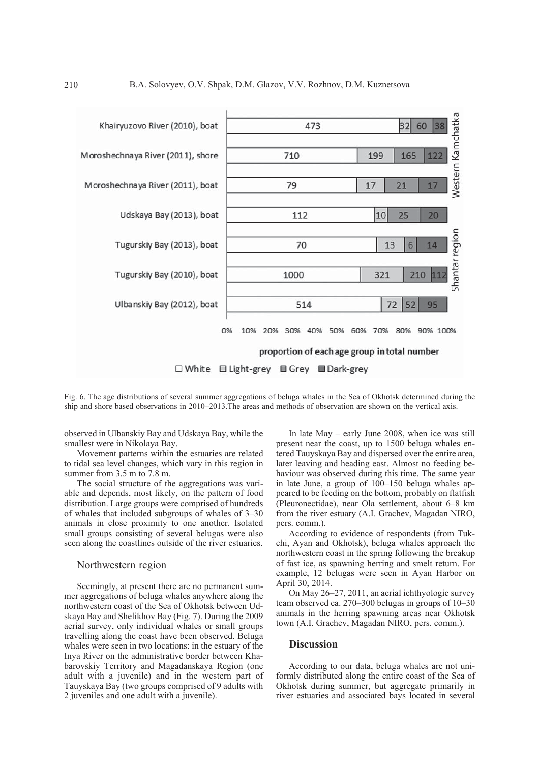

Fig. 6. The age distributions of several summer aggregations of beluga whales in the Sea of Okhotsk determined during the ship and shore based observations in 2010–2013.The areas and methods of observation are shown on the vertical axis.

observed in Ulbanskiy Bay and Udskaya Bay, while the smallest were in Nikolaya Bay.

Movement patterns within the estuaries are related to tidal sea level changes, which vary in this region in summer from 3.5 m to 7.8 m.

The social structure of the aggregations was variable and depends, most likely, on the pattern of food distribution. Large groups were comprised of hundreds of whales that included subgroups of whales of 3–30 animals in close proximity to one another. Isolated small groups consisting of several belugas were also seen along the coastlines outside of the river estuaries.

## Northwestern region

Seemingly, at present there are no permanent summer aggregations of beluga whales anywhere along the northwestern coast of the Sea of Okhotsk between Udskaya Bay and Shelikhov Bay (Fig. 7). During the 2009 aerial survey, only individual whales or small groups travelling along the coast have been observed. Beluga whales were seen in two locations: in the estuary of the Inya River on the administrative border between Khabarovskiy Territory and Magadanskaya Region (one adult with a juvenile) and in the western part of Tauyskaya Bay (two groups comprised of 9 adults with 2 juveniles and one adult with a juvenile).

In late May – early June 2008, when ice was still present near the coast, up to 1500 beluga whales entered Tauyskaya Bay and dispersed over the entire area, later leaving and heading east. Almost no feeding behaviour was observed during this time. The same year in late June, a group of 100–150 beluga whales appeared to be feeding on the bottom, probably on flatfish (Pleuronectidae), near Ola settlement, about 6–8 km from the river estuary (A.I. Grachev, Magadan NIRO, pers. comm.).

According to evidence of respondents (from Tukchi, Ayan and Okhotsk), beluga whales approach the northwestern coast in the spring following the breakup of fast ice, as spawning herring and smelt return. For example, 12 belugas were seen in Ayan Harbor on April 30, 2014.

On May 26–27, 2011, an aerial ichthyologic survey team observed ca. 270–300 belugas in groups of 10–30 animals in the herring spawning areas near Okhotsk town (A.I. Grachev, Magadan NIRO, pers. comm.).

## **Discussion**

According to our data, beluga whales are not uniformly distributed along the entire coast of the Sea of Okhotsk during summer, but aggregate primarily in river estuaries and associated bays located in several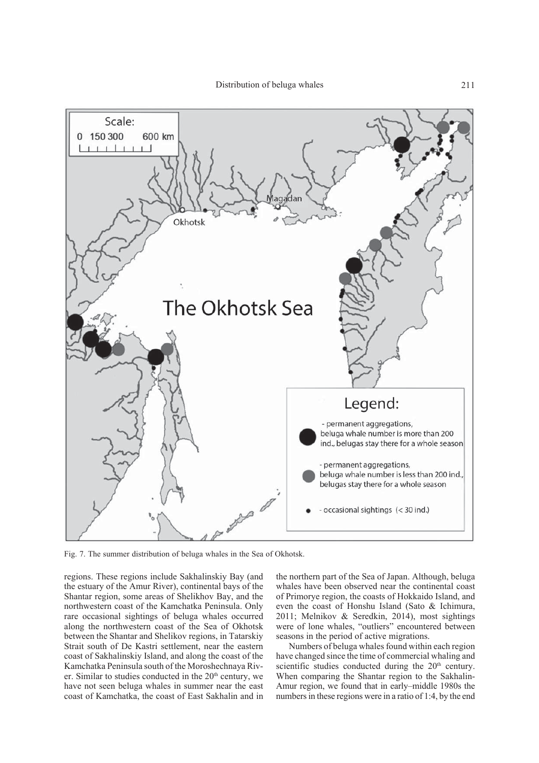

Fig. 7. The summer distribution of beluga whales in the Sea of Okhotsk.

regions. These regions include Sakhalinskiy Bay (and the estuary of the Amur River), continental bays of the Shantar region, some areas of Shelikhov Bay, and the northwestern coast of the Kamchatka Peninsula. Only rare occasional sightings of beluga whales occurred along the northwestern coast of the Sea of Okhotsk between the Shantar and Shelikov regions, in Tatarskiy Strait south of De Kastri settlement, near the eastern coast of Sakhalinskiy Island, and along the coast of the Kamchatka Peninsula south of the Moroshechnaya River. Similar to studies conducted in the  $20<sup>th</sup>$  century, we have not seen beluga whales in summer near the east coast of Kamchatka, the coast of East Sakhalin and in

the northern part of the Sea of Japan. Although, beluga whales have been observed near the continental coast of Primorye region, the coasts of Hokkaido Island, and even the coast of Honshu Island (Sato & Ichimura, 2011; Melnikov & Seredkin, 2014), most sightings were of lone whales, "outliers" encountered between seasons in the period of active migrations.

Numbers of beluga whales found within each region have changed since the time of commercial whaling and scientific studies conducted during the  $20<sup>th</sup>$  century. When comparing the Shantar region to the Sakhalin-Amur region, we found that in early–middle 1980s the numbers in these regions were in a ratio of 1:4, by the end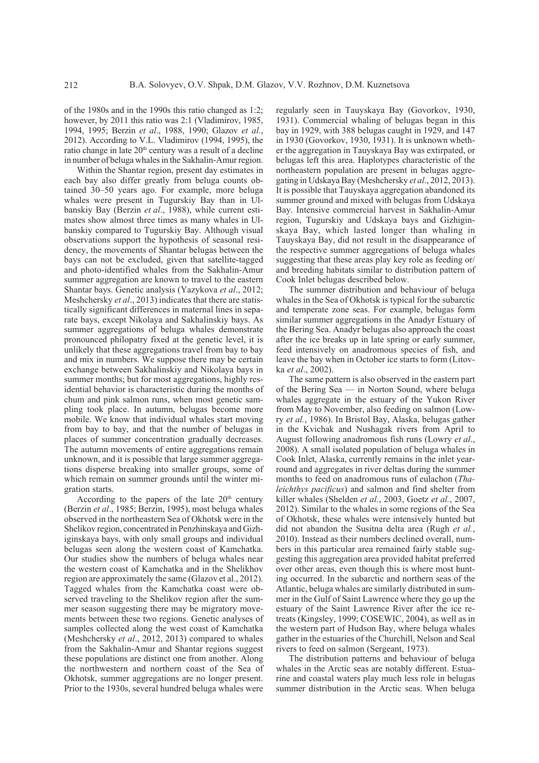of the 1980s and in the 1990s this ratio changed as 1:2; however, by 2011 this ratio was 2:1 (Vladimirov, 1985, 1994, 1995; Berzin *et al*., 1988, 1990; Glazov *et al.*, 2012). According to V.L. Vladimirov (1994, 1995), the ratio change in late 20<sup>th</sup> century was a result of a decline in number of beluga whales in the Sakhalin-Amur region.

Within the Shantar region, present day estimates in each bay also differ greatly from beluga counts obtained 30–50 years ago. For example, more beluga whales were present in Tugurskiy Bay than in Ulbanskiy Bay (Berzin *et al*., 1988), while current estimates show almost three times as many whales in Ulbanskiy compared to Tugurskiy Bay. Although visual observations support the hypothesis of seasonal residency, the movements of Shantar belugas between the bays can not be excluded, given that satellite-tagged and photo-identified whales from the Sakhalin-Amur summer aggregation are known to travel to the eastern Shantar bays. Genetic analysis (Yazykova *et al*., 2012; Meshchersky *et al*., 2013) indicates that there are statistically significant differences in maternal lines in separate bays, except Nikolaya and Sakhalinskiy bays. As summer aggregations of beluga whales demonstrate pronounced philopatry fixed at the genetic level, it is unlikely that these aggregations travel from bay to bay and mix in numbers. We suppose there may be certain exchange between Sakhalinskiy and Nikolaya bays in summer months; but for most aggregations, highly residential behavior is characteristic during the months of chum and pink salmon runs, when most genetic sampling took place. In autumn, belugas become more mobile. We know that individual whales start moving from bay to bay, and that the number of belugas in places of summer concentration gradually decreases. The autumn movements of entire aggregations remain unknown, and it is possible that large summer aggregations disperse breaking into smaller groups, some of which remain on summer grounds until the winter migration starts.

According to the papers of the late  $20<sup>th</sup>$  century (Berzin *et al*., 1985; Berzin, 1995), most beluga whales observed in the northeastern Sea of Okhotsk were in the Shelikov region, concentrated in Penzhinskaya and Gizhiginskaya bays, with only small groups and individual belugas seen along the western coast of Kamchatka. Our studies show the numbers of beluga whales near the western coast of Kamchatka and in the Shelikhov region are approximately the same (Glazov et al., 2012). Tagged whales from the Kamchatka coast were observed traveling to the Shelikov region after the summer season suggesting there may be migratory movements between these two regions. Genetic analyses of samples collected along the west coast of Kamchatka (Meshchersky *et al*., 2012, 2013) compared to whales from the Sakhalin-Amur and Shantar regions suggest these populations are distinct one from another. Along the northwestern and northern coast of the Sea of Okhotsk, summer aggregations are no longer present. Prior to the 1930s, several hundred beluga whales were

regularly seen in Tauyskaya Bay (Govorkov, 1930, 1931). Commercial whaling of belugas began in this bay in 1929, with 388 belugas caught in 1929, and 147 in 1930 (Govorkov, 1930, 1931). It is unknown whether the aggregation in Tauyskaya Bay was extirpated, or belugas left this area. Haplotypes characteristic of the northeastern population are present in belugas aggregating in Udskaya Bay (Meshchersky *et al*., 2012, 2013). It is possible that Tauyskaya aggregation abandoned its summer ground and mixed with belugas from Udskaya Bay. Intensive commercial harvest in Sakhalin-Amur region, Tugurskiy and Udskaya bays and Gizhiginskaya Bay, which lasted longer than whaling in Tauyskaya Bay, did not result in the disappearance of the respective summer aggregations of beluga whales suggesting that these areas play key role as feeding or/ and breeding habitats similar to distribution pattern of Cook Inlet belugas described below.

The summer distribution and behaviour of beluga whales in the Sea of Okhotsk is typical for the subarctic and temperate zone seas. For example, belugas form similar summer aggregations in the Anadyr Estuary of the Bering Sea. Anadyr belugas also approach the coast after the ice breaks up in late spring or early summer, feed intensively on anadromous species of fish, and leave the bay when in October ice starts to form (Litovka *et al*., 2002).

The same pattern is also observed in the eastern part of the Bering Sea — in Norton Sound, where beluga whales aggregate in the estuary of the Yukon River from May to November, also feeding on salmon (Lowry *et al.*, 1986). In Bristol Bay, Alaska, belugas gather in the Kvichak and Nushagak rivers from April to August following anadromous fish runs (Lowry *et al*., 2008). A small isolated population of beluga whales in Cook Inlet, Alaska, currently remains in the inlet yearround and aggregates in river deltas during the summer months to feed on anadromous runs of eulachon (*Thaleichthys pacificus*) and salmon and find shelter from killer whales (Shelden *et al.*, 2003, Goetz *et al.*, 2007, 2012). Similar to the whales in some regions of the Sea of Okhotsk, these whales were intensively hunted but did not abandon the Susitna delta area (Rugh *et al.*, 2010). Instead as their numbers declined overall, numbers in this particular area remained fairly stable suggesting this aggregation area provided habitat preferred over other areas, even though this is where most hunting occurred. In the subarctic and northern seas of the Atlantic, beluga whales are similarly distributed in summer in the Gulf of Saint Lawrence where they go up the estuary of the Saint Lawrence River after the ice retreats (Kingsley, 1999; COSEWIC, 2004), as well as in the western part of Hudson Bay, where beluga whales gather in the estuaries of the Churchill, Nelson and Seal rivers to feed on salmon (Sergeant, 1973).

The distribution patterns and behaviour of beluga whales in the Arctic seas are notably different. Estuarine and coastal waters play much less role in belugas summer distribution in the Arctic seas. When beluga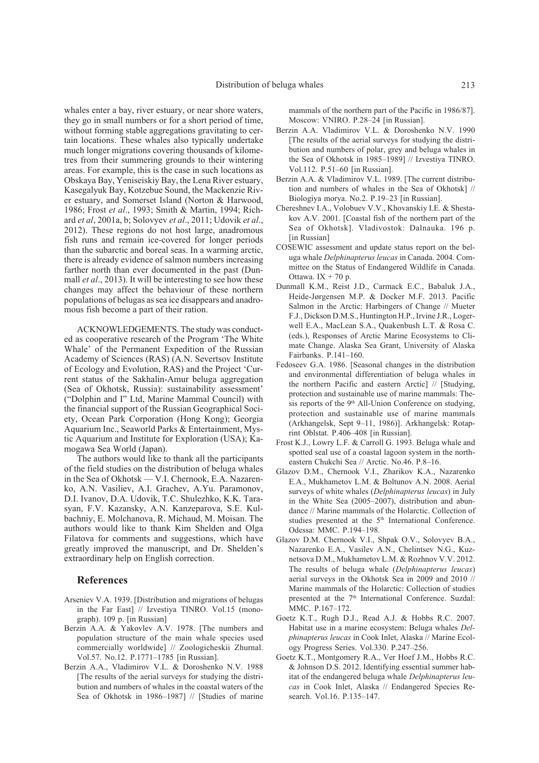whales enter a bay, river estuary, or near shore waters, they go in small numbers or for a short period of time, without forming stable aggregations gravitating to certain locations. These whales also typically undertake much longer migrations covering thousands of kilometres from their summering grounds to their wintering areas. For example, this is the case in such locations as Obskaya Bay, Yeniseiskiy Bay, the Lena River estuary, Kasegalyuk Bay, Kotzebue Sound, the Mackenzie River estuary, and Somerset Island (Norton & Harwood, 1986; Frost *et al*., 1993; Smith & Martin, 1994; Richard *et al*, 2001a, b; Solovyev *et al*., 2011; Udovik *et al*., 2012). These regions do not host large, anadromous fish runs and remain ice-covered for longer periods than the subarctic and boreal seas. In a warming arctic, there is already evidence of salmon numbers increasing farther north than ever documented in the past (Dunmall *et al*., 2013). It will be interesting to see how these changes may affect the behaviour of these northern populations of belugas as sea ice disappears and anadromous fish become a part of their ration.

ACKNOWLEDGEMENTS. The study was conducted as cooperative research of the Program 'The White Whale' of the Permanent Expedition of the Russian Academy of Sciences (RAS) (A.N. Severtsov Institute of Ecology and Evolution, RAS) and the Project 'Current status of the Sakhalin-Amur beluga aggregation (Sea of Okhotsk, Russia): sustainability assessment' ("Dolphin and I" Ltd, Marine Mammal Council) with the financial support of the Russian Geographical Society, Ocean Park Corporation (Hong Kong); Georgia Aquarium Inc., Seaworld Parks & Entertainment, Mystic Aquarium and Institute for Exploration (USA); Kamogawa Sea World (Japan).

The authors would like to thank all the participants of the field studies on the distribution of beluga whales in the Sea of Okhotsk — V.I. Chernook, E.A. Nazarenko, A.N. Vasiliev, A.I. Grachev, A.Yu. Paramonov, D.I. Ivanov, D.A. Udovik, T.C. Shulezhko, K.K. Tarasyan, F.V. Kazansky, A.N. Kanzeparova, S.E. Kulbachniy, E. Molchanova, R. Michaud, M. Moisan. The authors would like to thank Kim Shelden and Olga Filatova for comments and suggestions, which have greatly improved the manuscript, and Dr. Shelden's extraordinary help on English correction.

## **References**

- Arseniev V.A. 1939. [Distribution and migrations of belugas in the Far East] // Izvestiya TINRO. Vol.15 (monograph). 109 p. [in Russian]
- Berzin A.A. & Yakovlev A.V. 1978. [The numbers and population structure of the main whale species used commercially worldwide] // Zoologicheskii Zhurnal. Vol.57. No.12. P.1771–1785 [in Russian].
- Berzin A.A., Vladimirov V.L. & Doroshenko N.V. 1988 [The results of the aerial surveys for studying the distribution and numbers of whales in the coastal waters of the Sea of Okhotsk in 1986–1987] // [Studies of marine

mammals of the northern part of the Pacific in 1986/87]. Moscow: VNIRO. P.28–24 [in Russian].

- Berzin A.A. Vladimirov V.L. & Doroshenko N.V. 1990 [The results of the aerial surveys for studying the distribution and numbers of polar, grey and beluga whales in the Sea of Okhotsk in 1985–1989] // Izvestiya TINRO. Vol.112. P.51–60 [in Russian].
- Berzin A.A. & Vladimirov V.L. 1989. [The current distribution and numbers of whales in the Sea of Okhotsk] // Biologiya morya. No.2. P.19–23 [in Russian].
- Chereshnev I.A., Volobuev V.V., Khovanskiy I.E. & Shestakov A.V. 2001. [Coastal fish of the northern part of the Sea of Okhotsk]. Vladivostok: Dalnauka. 196 p. [in Russian]
- COSEWIC assessment and update status report on the beluga whale *Delphinapterus leucas* in Canada. 2004. Committee on the Status of Endangered Wildlife in Canada. Ottawa.  $IX + 70$  p.
- Dunmall K.M., Reist J.D., Carmack E.C., Babaluk J.A., Heide-Jørgensen M.P. & Docker M.F. 2013. Pacific Salmon in the Arctic: Harbingers of Change // Mueter F.J., Dickson D.M.S., Huntington H.P., Irvine J.R., Logerwell E.A., MacLean S.A., Quakenbush L.T. & Rosa C. (eds.), Responses of Arctic Marine Ecosystems to Climate Change. Alaska Sea Grant, University of Alaska Fairbanks. P.141–160.
- Fedoseev G.A. 1986. [Seasonal changes in the distribution and environmental differentiation of beluga whales in the northern Pacific and eastern Arctic] // [Studying, protection and sustainable use of marine mammals: Thesis reports of the 9<sup>th</sup> All-Union Conference on studying, protection and sustainable use of marine mammals (Arkhangelsk, Sept 9–11, 1986)]. Arkhangelsk: Rotaprint Oblstat. P.406–408 [in Russian].
- Frost K.J., Lowry L.F. & Carroll G. 1993. Beluga whale and spotted seal use of a coastal lagoon system in the northeastern Chukchi Sea // Arctic. No.46. P.8–16.
- Glazov D.M., Chernook V.I., Zharikov K.A., Nazarenko E.A., Mukhametov L.M. & Boltunov A.N. 2008. Aerial surveys of white whales (*Delphinapterus leucas*) in July in the White Sea (2005–2007), distribution and abundance // Marine mammals of the Holarctic. Collection of studies presented at the 5<sup>th</sup> International Conference. Odessa: MMC. P.194–198.
- Glazov D.M. Chernook V.I., Shpak O.V., Solovyev B.A., Nazarenko E.A., Vasilev A.N., Chelintsev N.G., Kuznetsova D.M., Mukhametov L.M. & Rozhnov V.V. 2012. The results of beluga whale (*Delphinapterus leucas*) aerial surveys in the Okhotsk Sea in 2009 and 2010 // Marine mammals of the Holarctic: Collection of studies presented at the 7<sup>th</sup> International Conference. Suzdal: MMC. P.167–172.
- Goetz K.T., Rugh D.J., Read A.J. & Hobbs R.C. 2007. Habitat use in a marine ecosystem: Beluga whales *Delphinapterus leucas* in Cook Inlet, Alaska // Marine Ecology Progress Series. Vol.330. P.247–256.
- Goetz K.T., Montgomery R.A., Ver Hoef J.M., Hobbs R.C. & Johnson D.S. 2012. Identifying essential summer habitat of the endangered beluga whale *Delphinapterus leucas* in Cook Inlet, Alaska // Endangered Species Research. Vol.16. P.135–147.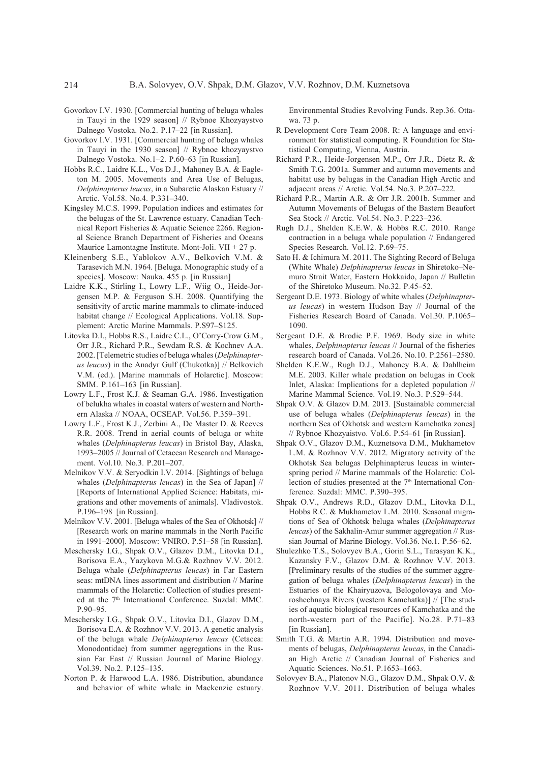- Govorkov I.V. 1930. [Commercial hunting of beluga whales in Tauyi in the 1929 season] // Rybnoe Khozyaystvo Dalnego Vostoka. No.2. P.17–22 [in Russian].
- Govorkov I.V. 1931. [Commercial hunting of beluga whales in Tauyi in the 1930 season] // Rybnoe khozyaystvo Dalnego Vostoka. No.1–2. P.60–63 [in Russian].
- Hobbs R.C., Laidre K.L., Vos D.J., Mahoney B.A. & Eagleton M. 2005. Movements and Area Use of Belugas, *Delphinapterus leucas*, in a Subarctic Alaskan Estuary // Arctic. Vol.58. No.4. P.331–340.
- Kingsley M.C.S. 1999. Population indices and estimates for the belugas of the St. Lawrence estuary. Canadian Technical Report Fisheries & Aquatic Science 2266. Regional Science Branch Department of Fisheries and Oceans Maurice Lamontagne Institute. Mont-Joli. VII +  $27$  p.
- Kleinenberg S.E., Yablokov A.V., Belkovich V.M. & Tarasevich M.N. 1964. [Beluga. Monographic study of a species]. Moscow: Nauka. 455 p. [in Russian]
- Laidre K.K., Stirling I., Lowry L.F., Wiig O., Heide-Jorgensen M.P. & Ferguson S.H. 2008. Quantifying the sensitivity of arctic marine mammals to climate-induced habitat change // Ecological Applications. Vol.18. Supplement: Arctic Marine Mammals. P.S97–S125.
- Litovka D.I., Hobbs R.S., Laidre C.L., O'Corry-Crow G.M., Orr J.R., Richard P.R., Sewdam R.S. & Kochnev A.A. 2002. [Telemetric studies of beluga whales (*Delphinapterus leucas*) in the Anadyr Gulf (Chukotka)] // Belkovich V.M. (ed.). [Marine mammals of Holarctic]. Moscow: SMM. P.161–163 [in Russian].
- Lowry L.F., Frost K.J. & Seaman G.A. 1986. Investigation of belukha whales in coastal waters of western and Northern Alaska // NOAA, OCSEAP. Vol.56. P.359–391.
- Lowry L.F., Frost K.J., Zerbini A., De Master D. & Reeves R.R. 2008. Trend in aerial counts of beluga or white whales (*Delphinapterus leucas*) in Bristol Bay, Alaska, 1993–2005 // Journal of Cetacean Research and Management. Vol.10. No.3. P.201–207.
- Melnikov V.V. & Seryodkin I.V. 2014. [Sightings of beluga whales (*Delphinapterus leucas*) in the Sea of Japan] // [Reports of International Applied Science: Habitats, migrations and other movements of animals]. Vladivostok. P.196–198 [in Russian].
- Melnikov V.V. 2001. [Beluga whales of the Sea of Okhotsk] // [Research work on marine mammals in the North Pacific in 1991–2000]. Moscow: VNIRO. P.51–58 [in Russian].
- Meschersky I.G., Shpak O.V., Glazov D.M., Litovka D.I., Borisova E.A., Yazykova M.G.& Rozhnov V.V. 2012. Beluga whale (*Delphinapterus leucas*) in Far Eastern seas: mtDNA lines assortment and distribution // Marine mammals of the Holarctic: Collection of studies presented at the 7<sup>th</sup> International Conference. Suzdal: MMC. P.90–95.
- Meschersky I.G., Shpak O.V., Litovka D.I., Glazov D.M., Borisova E.A. & Rozhnov V.V. 2013. A genetic analysis of the beluga whale *Delphinapterus leucas* (Cetacea: Monodontidae) from summer aggregations in the Russian Far East // Russian Journal of Marine Biology. Vol.39. No.2. P.125–135.
- Norton P. & Harwood L.A. 1986. Distribution, abundance and behavior of white whale in Mackenzie estuary.

Environmental Studies Revolving Funds. Rep.36. Ottawa. 73 p.

- R Development Core Team 2008. R: A language and environment for statistical computing. R Foundation for Statistical Computing, Vienna, Austria.
- Richard P.R., Heide-Jorgensen M.P., Orr J.R., Dietz R. & Smith T.G. 2001a. Summer and autumn movements and habitat use by belugas in the Canadian High Arctic and adjacent areas // Arctic. Vol.54. No.3. P.207–222.
- Richard P.R., Martin A.R. & Orr J.R. 2001b. Summer and Autumn Movements of Belugas of the Bastern Beaufort Sea Stock // Arctic. Vol.54. No.3. P.223–236.
- Rugh D.J., Shelden K.E.W. & Hobbs R.C. 2010. Range contraction in a beluga whale population // Endangered Species Research. Vol.12. P.69–75.
- Sato H. & Ichimura M. 2011. The Sighting Record of Beluga (White Whale) *Delphinapterus leucas* in Shiretoko–Nemuro Strait Water, Eastern Hokkaido, Japan // Bulletin of the Shiretoko Museum. No.32. P.45–52.
- Sergeant D.E. 1973. Biology of white whales (*Delphinapterus leucas*) in western Hudson Bay // Journal of the Fisheries Research Board of Canada. Vol.30. P.1065– 1090.
- Sergeant D.E. & Brodie P.F. 1969. Body size in white whales, *Delphinapterus leucas* // Journal of the fisheries research board of Canada. Vol.26. No.10. P.2561–2580.
- Shelden K.E.W., Rugh D.J., Mahoney B.A. & Dahlheim M.E. 2003. Killer whale predation on belugas in Cook Inlet, Alaska: Implications for a depleted population // Marine Mammal Science. Vol.19. No.3. P.529–544.
- Shpak O.V. & Glazov D.M. 2013. [Sustainable commercial use of beluga whales (*Delphinapterus leucas*) in the northern Sea of Okhotsk and western Kamchatka zones] // Rybnoe Khozyaistvo. Vol.6. P.54–61 [in Russian].
- Shpak O.V., Glazov D.M., Kuznetsova D.M., Mukhametov L.M. & Rozhnov V.V. 2012. Migratory activity of the Okhotsk Sea belugas Delphinapterus leucas in winterspring period // Marine mammals of the Holarctic: Collection of studies presented at the  $7<sup>th</sup>$  International Conference. Suzdal: MMC. P.390–395.
- Shpak O.V., Andrews R.D., Glazov D.M., Litovka D.I., Hobbs R.C. & Mukhametov L.M. 2010. Seasonal migrations of Sea of Okhotsk beluga whales (*Delphinapterus leucas*) of the Sakhalin-Amur summer aggregation // Russian Journal of Marine Biology. Vol.36. No.1. P.56–62.
- Shulezhko T.S., Solovyev B.A., Gorin S.L., Tarasyan K.K., Kazansky F.V., Glazov D.M. & Rozhnov V.V. 2013. [Preliminary results of the studies of the summer aggregation of beluga whales (*Delphinapterus leucas*) in the Estuaries of the Khairyuzova, Belogolovaya and Moroshechnaya Rivers (western Kamchatka)] // [The studies of aquatic biological resources of Kamchatka and the north-western part of the Pacific]. No.28. P.71–83 [in Russian].
- Smith T.G. & Martin A.R. 1994. Distribution and movements of belugas, *Delphinapterus leucas*, in the Canadian High Arctic // Canadian Journal of Fisheries and Aquatic Sciences. No.51. P.1653–1663.
- Solovyev B.A., Platonov N.G., Glazov D.M., Shpak O.V. & Rozhnov V.V. 2011. Distribution of beluga whales